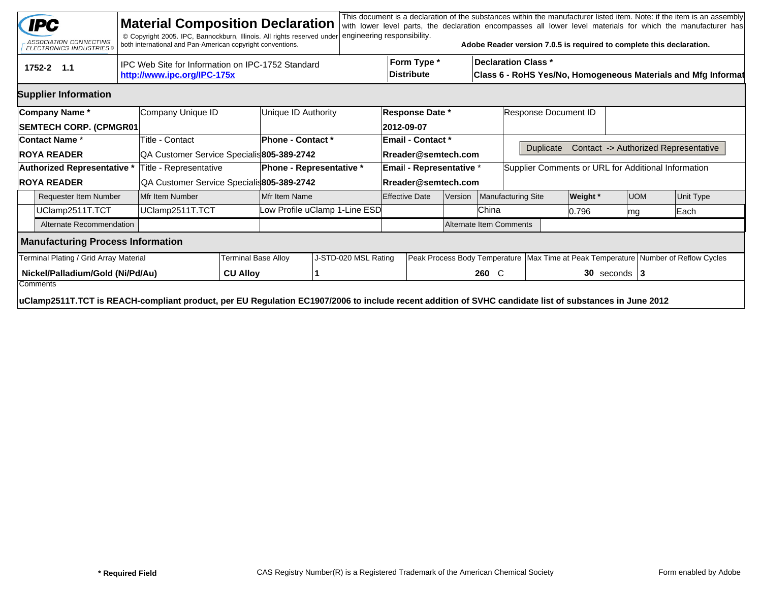|                                                                      | <b>IPC</b><br>ASSOCIATION CONNECTING<br>ELECTRONICS INDUSTRIES®                                                                                        |                   | <b>Material Composition Declaration</b><br>© Copyright 2005. IPC, Bannockburn, Illinois. All rights reserved under<br>both international and Pan-American copyright conventions. |  |                                 | engineering responsibility.   |  |                                   |  |       | Adobe Reader version 7.0.5 is required to complete this declaration.                   |                                                               |            |  | This document is a declaration of the substances within the manufacturer listed item. Note: if the item is an assembly<br>with lower level parts, the declaration encompasses all lower level materials for which the manufacturer has |  |  |
|----------------------------------------------------------------------|--------------------------------------------------------------------------------------------------------------------------------------------------------|-------------------|----------------------------------------------------------------------------------------------------------------------------------------------------------------------------------|--|---------------------------------|-------------------------------|--|-----------------------------------|--|-------|----------------------------------------------------------------------------------------|---------------------------------------------------------------|------------|--|----------------------------------------------------------------------------------------------------------------------------------------------------------------------------------------------------------------------------------------|--|--|
|                                                                      | IPC Web Site for Information on IPC-1752 Standard<br>1752-2 1.1<br>http://www.ipc.org/IPC-175x                                                         |                   |                                                                                                                                                                                  |  |                                 |                               |  |                                   |  |       | <b>Declaration Class *</b>                                                             | Class 6 - RoHS Yes/No, Homogeneous Materials and Mfg Informat |            |  |                                                                                                                                                                                                                                        |  |  |
|                                                                      | <b>Supplier Information</b>                                                                                                                            |                   |                                                                                                                                                                                  |  |                                 |                               |  |                                   |  |       |                                                                                        |                                                               |            |  |                                                                                                                                                                                                                                        |  |  |
|                                                                      | Company Name*                                                                                                                                          | Company Unique ID |                                                                                                                                                                                  |  | Unique ID Authority             |                               |  | <b>Response Date *</b>            |  |       | Response Document ID                                                                   |                                                               |            |  |                                                                                                                                                                                                                                        |  |  |
|                                                                      | <b>SEMTECH CORP. (CPMGR01</b>                                                                                                                          |                   |                                                                                                                                                                                  |  |                                 |                               |  | 2012-09-07                        |  |       |                                                                                        |                                                               |            |  |                                                                                                                                                                                                                                        |  |  |
|                                                                      | <b>Contact Name *</b>                                                                                                                                  |                   | Title - Contact                                                                                                                                                                  |  | Phone - Contact *               |                               |  | Email - Contact *                 |  |       |                                                                                        |                                                               |            |  |                                                                                                                                                                                                                                        |  |  |
|                                                                      | <b>ROYA READER</b>                                                                                                                                     |                   | QA Customer Service Specialis 805-389-2742                                                                                                                                       |  |                                 |                               |  | Rreader@semtech.com               |  |       | Contact -> Authorized Representative<br><b>Duplicate</b>                               |                                                               |            |  |                                                                                                                                                                                                                                        |  |  |
|                                                                      | Authorized Representative *                                                                                                                            |                   | Title - Representative                                                                                                                                                           |  | <b>Phone - Representative *</b> |                               |  | Email - Representative *          |  |       | Supplier Comments or URL for Additional Information                                    |                                                               |            |  |                                                                                                                                                                                                                                        |  |  |
| <b>ROYA READER</b>                                                   |                                                                                                                                                        |                   | QA Customer Service Specialis805-389-2742                                                                                                                                        |  |                                 |                               |  | Rreader@semtech.com               |  |       |                                                                                        |                                                               |            |  |                                                                                                                                                                                                                                        |  |  |
| <b>Requester Item Number</b>                                         |                                                                                                                                                        |                   | Mfr Item Number                                                                                                                                                                  |  | Mfr Item Name                   |                               |  | <b>Effective Date</b><br> Version |  |       | Manufacturing Site                                                                     | <b>Weight</b> *                                               | <b>UOM</b> |  | <b>Unit Type</b>                                                                                                                                                                                                                       |  |  |
|                                                                      | UClamp2511T.TCT                                                                                                                                        | UClamp2511T.TCT   |                                                                                                                                                                                  |  |                                 | Low Profile uClamp 1-Line ESD |  |                                   |  | China |                                                                                        | 10.796                                                        | mg         |  | Each                                                                                                                                                                                                                                   |  |  |
|                                                                      | Alternate Recommendation                                                                                                                               |                   |                                                                                                                                                                                  |  |                                 | Alternate Item Comments       |  |                                   |  |       |                                                                                        |                                                               |            |  |                                                                                                                                                                                                                                        |  |  |
|                                                                      | <b>Manufacturing Process Information</b>                                                                                                               |                   |                                                                                                                                                                                  |  |                                 |                               |  |                                   |  |       |                                                                                        |                                                               |            |  |                                                                                                                                                                                                                                        |  |  |
| Terminal Plating / Grid Array Material<br><b>Terminal Base Alloy</b> |                                                                                                                                                        |                   |                                                                                                                                                                                  |  | J-STD-020 MSL Rating            |                               |  |                                   |  |       | Peak Process Body Temperature   Max Time at Peak Temperature   Number of Reflow Cycles |                                                               |            |  |                                                                                                                                                                                                                                        |  |  |
| Nickel/Palladium/Gold (Ni/Pd/Au)<br><b>CU Alloy</b><br>Comments      |                                                                                                                                                        |                   |                                                                                                                                                                                  |  |                                 |                               |  |                                   |  | 260 C |                                                                                        | $30$ seconds   3                                              |            |  |                                                                                                                                                                                                                                        |  |  |
|                                                                      | uClamp2511T.TCT is REACH-compliant product, per EU Regulation EC1907/2006 to include recent addition of SVHC candidate list of substances in June 2012 |                   |                                                                                                                                                                                  |  |                                 |                               |  |                                   |  |       |                                                                                        |                                                               |            |  |                                                                                                                                                                                                                                        |  |  |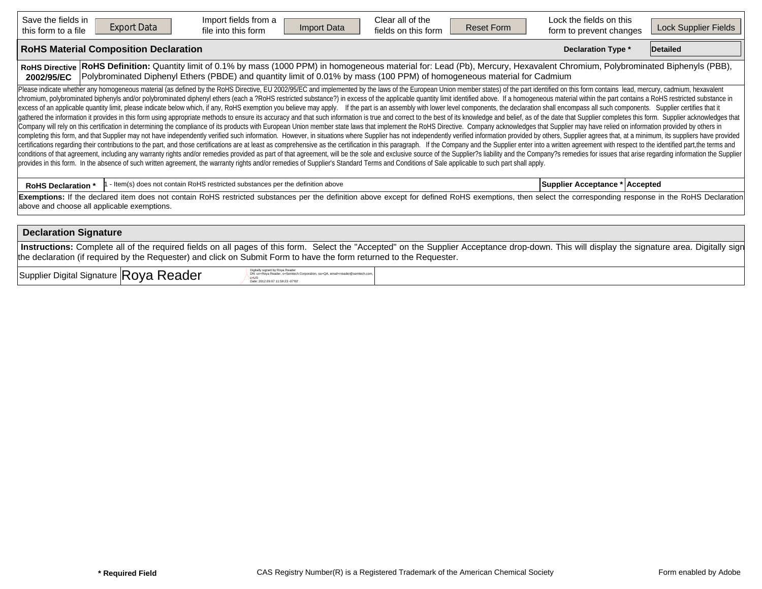| Save the fields in<br>this form to a file                                                                                                                                                                                                                                                                                                                                                                                                                                                                                                                                                                                                                                                                                                                                                                                                                                                                                                                                                                                                                                                                                                                                                                                                                                                                                                                                                                                                                                                                                                                                                                                                                                                                                                                                                                                                                                                                                                                                                                                                                                   | <b>Export Data</b>                           | Import fields from a<br>file into this form                                    | Import Data | Clear all of the<br>fields on this form | <b>Reset Form</b> | Lock the fields on this<br>form to prevent changes | Lock Supplier Fields |  |  |  |  |  |  |
|-----------------------------------------------------------------------------------------------------------------------------------------------------------------------------------------------------------------------------------------------------------------------------------------------------------------------------------------------------------------------------------------------------------------------------------------------------------------------------------------------------------------------------------------------------------------------------------------------------------------------------------------------------------------------------------------------------------------------------------------------------------------------------------------------------------------------------------------------------------------------------------------------------------------------------------------------------------------------------------------------------------------------------------------------------------------------------------------------------------------------------------------------------------------------------------------------------------------------------------------------------------------------------------------------------------------------------------------------------------------------------------------------------------------------------------------------------------------------------------------------------------------------------------------------------------------------------------------------------------------------------------------------------------------------------------------------------------------------------------------------------------------------------------------------------------------------------------------------------------------------------------------------------------------------------------------------------------------------------------------------------------------------------------------------------------------------------|----------------------------------------------|--------------------------------------------------------------------------------|-------------|-----------------------------------------|-------------------|----------------------------------------------------|----------------------|--|--|--|--|--|--|
|                                                                                                                                                                                                                                                                                                                                                                                                                                                                                                                                                                                                                                                                                                                                                                                                                                                                                                                                                                                                                                                                                                                                                                                                                                                                                                                                                                                                                                                                                                                                                                                                                                                                                                                                                                                                                                                                                                                                                                                                                                                                             | <b>RoHS Material Composition Declaration</b> | <b>Declaration Type *</b>                                                      | Detailed    |                                         |                   |                                                    |                      |  |  |  |  |  |  |
| RoHS Definition: Quantity limit of 0.1% by mass (1000 PPM) in homogeneous material for: Lead (Pb), Mercury, Hexavalent Chromium, Polybrominated Biphenyls (PBB),<br><b>RoHS Directive</b><br>Polybrominated Diphenyl Ethers (PBDE) and quantity limit of 0.01% by mass (100 PPM) of homogeneous material for Cadmium<br>2002/95/EC                                                                                                                                                                                                                                                                                                                                                                                                                                                                                                                                                                                                                                                                                                                                                                                                                                                                                                                                                                                                                                                                                                                                                                                                                                                                                                                                                                                                                                                                                                                                                                                                                                                                                                                                          |                                              |                                                                                |             |                                         |                   |                                                    |                      |  |  |  |  |  |  |
| Please indicate whether any homogeneous material (as defined by the RoHS Directive, EU 2002/95/EC and implemented by the laws of the European Union member states) of the part identified on this form contains lead, mercury,<br>chromium, polybrominated biphenyls and/or polybrominated diphenyl ethers (each a ?RoHS restricted substance?) in excess of the applicable quantity limit identified above. If a homogeneous material within the part contains<br>excess of an applicable quantity limit, please indicate below which, if any, RoHS exemption you believe may apply. If the part is an assembly with lower level components, the declaration shall encompass all such components<br>gathered the information it provides in this form using appropriate methods to ensure its accuracy and that such information is true and correct to the best of its knowledge and belief, as of the date that Supplier complet<br>Company will rely on this certification in determining the compliance of its products with European Union member state laws that implement the RoHS Directive. Company acknowledges that Supplier may have relied on informati<br>completing this form, and that Supplier may not have independently verified such information. However, in situations where Supplier has not independently verified information provided by others, Supplier agrees that, at a<br>certifications regarding their contributions to the part, and those certifications are at least as comprehensive as the certification in this paragraph. If the Company and the Supplier enter into a written agreement with r<br>conditions of that agreement, including any warranty rights and/or remedies provided as part of that agreement, will be the sole and exclusive source of the Supplier?s liability and the Company?s remedies for issues that a<br>provides in this form. In the absence of such written agreement, the warranty rights and/or remedies of Supplier's Standard Terms and Conditions of Sale applicable to such part shall apply. |                                              |                                                                                |             |                                         |                   |                                                    |                      |  |  |  |  |  |  |
| <b>RoHS Declaration *</b>                                                                                                                                                                                                                                                                                                                                                                                                                                                                                                                                                                                                                                                                                                                                                                                                                                                                                                                                                                                                                                                                                                                                                                                                                                                                                                                                                                                                                                                                                                                                                                                                                                                                                                                                                                                                                                                                                                                                                                                                                                                   |                                              | - Item(s) does not contain RoHS restricted substances per the definition above |             |                                         |                   | Supplier Acceptance *   Accepted                   |                      |  |  |  |  |  |  |
| Exemptions: If the declared item does not contain RoHS restricted substances per the definition above except for defined RoHS exemptions, then select the corresponding response in the RoHS Declaration<br>above and choose all applicable exemptions.                                                                                                                                                                                                                                                                                                                                                                                                                                                                                                                                                                                                                                                                                                                                                                                                                                                                                                                                                                                                                                                                                                                                                                                                                                                                                                                                                                                                                                                                                                                                                                                                                                                                                                                                                                                                                     |                                              |                                                                                |             |                                         |                   |                                                    |                      |  |  |  |  |  |  |
| <b>Declaration Signature</b>                                                                                                                                                                                                                                                                                                                                                                                                                                                                                                                                                                                                                                                                                                                                                                                                                                                                                                                                                                                                                                                                                                                                                                                                                                                                                                                                                                                                                                                                                                                                                                                                                                                                                                                                                                                                                                                                                                                                                                                                                                                |                                              |                                                                                |             |                                         |                   |                                                    |                      |  |  |  |  |  |  |
| Instructions: Complete all of the required fields on all pages of this form. Select the "Accepted" on the Supplier Acceptance drop-down. This will display the signature area. Digitally sign<br>the declaration (if required by the Requester) and click on Submit Form to have the form returned to the Requester.                                                                                                                                                                                                                                                                                                                                                                                                                                                                                                                                                                                                                                                                                                                                                                                                                                                                                                                                                                                                                                                                                                                                                                                                                                                                                                                                                                                                                                                                                                                                                                                                                                                                                                                                                        |                                              |                                                                                |             |                                         |                   |                                                    |                      |  |  |  |  |  |  |

 $\sup_{\mathcal{P}_{\text{cyls}}\in\mathbb{R}^n \atop \text{log} \text{c}} \mathsf{P}_{\text{cyls}}$  Reader  $\bigcap_{\mathcal{P}_{\text{cyls}}\in\mathbb{R}^n \atop \text{log} \text{cyls}} \mathsf{P}_{\text{cyls}}$ 

DN: cn=Roya Reader, o=Semtech Corporation, ou=QA, email=rreader@semtech.com,<br>c=US<br>Date: 2012.09.07 11:59:23 -07'00'